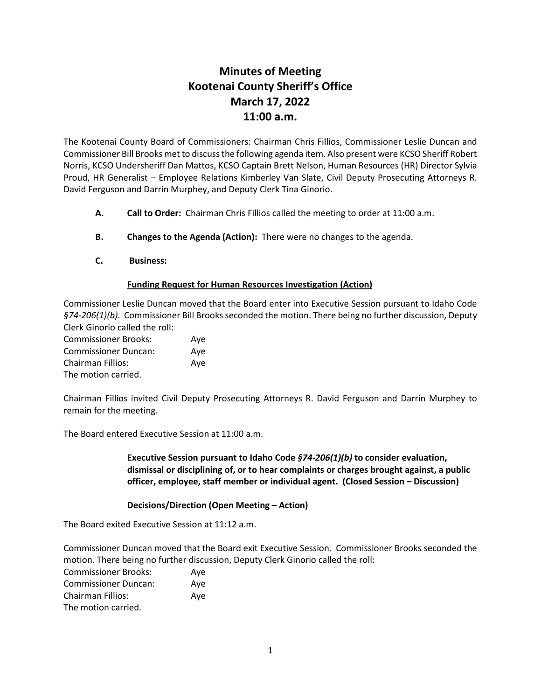## **Minutes of Meeting Kootenai County Sheriff's Office March 17, 2022 11:00 a.m.**

The Kootenai County Board of Commissioners: Chairman Chris Fillios, Commissioner Leslie Duncan and Commissioner Bill Brooks met to discuss the following agenda item. Also present were KCSO Sheriff Robert Norris, KCSO Undersheriff Dan Mattos, KCSO Captain Brett Nelson, Human Resources (HR) Director Sylvia Proud, HR Generalist – Employee Relations Kimberley Van Slate, Civil Deputy Prosecuting Attorneys R. David Ferguson and Darrin Murphey, and Deputy Clerk Tina Ginorio.

- **A. Call to Order:** Chairman Chris Fillios called the meeting to order at 11:00 a.m.
- **B. Changes to the Agenda (Action):** There were no changes to the agenda.
- **C. Business:**

## **Funding Request for Human Resources Investigation (Action)**

Commissioner Leslie Duncan moved that the Board enter into Executive Session pursuant to Idaho Code *§74-206(1)(b).* Commissioner Bill Brooks seconded the motion. There being no further discussion, Deputy Clerk Ginorio called the roll:

Commissioner Brooks: Aye Commissioner Duncan: Aye Chairman Fillios: Aye The motion carried.

Chairman Fillios invited Civil Deputy Prosecuting Attorneys R. David Ferguson and Darrin Murphey to remain for the meeting.

The Board entered Executive Session at 11:00 a.m.

**Executive Session pursuant to Idaho Code** *§74-206(1)(b)* **to consider evaluation, dismissal or disciplining of, or to hear complaints or charges brought against, a public officer, employee, staff member or individual agent. (Closed Session – Discussion)**

## **Decisions/Direction (Open Meeting – Action)**

The Board exited Executive Session at 11:12 a.m.

Commissioner Duncan moved that the Board exit Executive Session. Commissioner Brooks seconded the motion. There being no further discussion, Deputy Clerk Ginorio called the roll:

| <b>Commissioner Brooks:</b> | Aye |
|-----------------------------|-----|
| <b>Commissioner Duncan:</b> | Ave |
| <b>Chairman Fillios:</b>    | Ave |
| The motion carried.         |     |